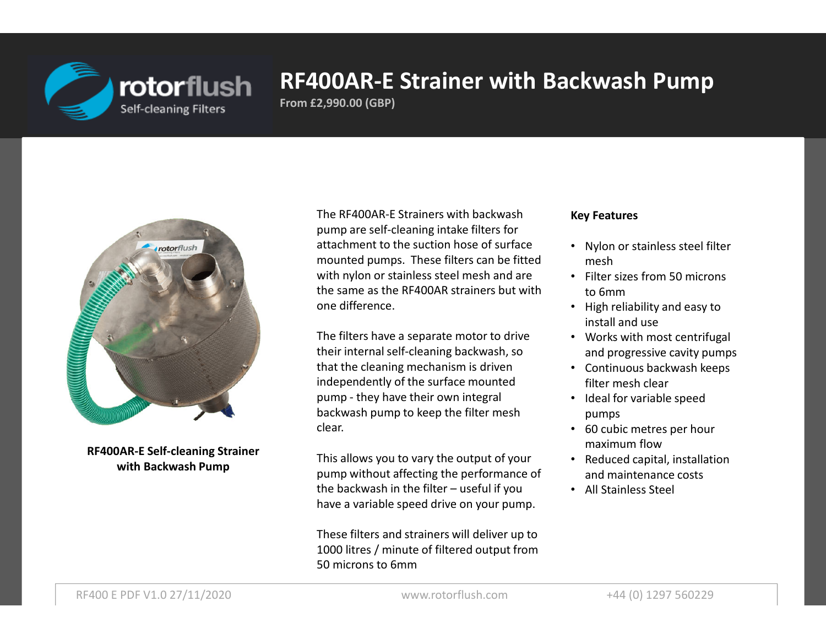

**From £2,990.00 (GBP)**



**RF400AR-E Self-cleaning Strainer with Backwash Pump**

The RF400AR-E Strainers with backwash pump are self-cleaning intake filters for attachment to the suction hose of surface mounted pumps. These filters can be fitted with nylon or stainless steel mesh and are the same as the RF400AR strainers but with one difference.

The filters have a separate motor to drive their internal self-cleaning backwash, so that the cleaning mechanism is driven independently of the surface mounted pump - they have their own integral backwash pump to keep the filter mesh clear.

This allows you to vary the output of your pump without affecting the performance of the backwash in the filter – useful if you have a variable speed drive on your pump.

These filters and strainers will deliver up to 1000 litres / minute of filtered output from 50 microns to 6mm

#### **Key Features**

- Nylon or stainless steel filter mesh
- Filter sizes from 50 microns to 6mm
- High reliability and easy to install and use
- Works with most centrifugal and progressive cavity pumps
- Continuous backwash keeps filter mesh clear
- Ideal for variable speed pumps
- 60 cubic metres per hour maximum flow
- Reduced capital, installation and maintenance costs
- All Stainless Steel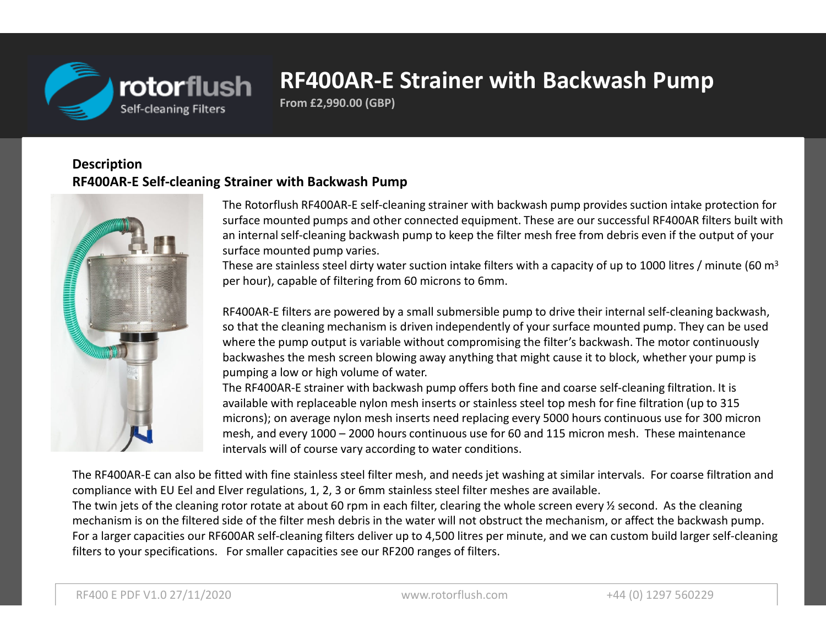

**From £2,990.00 (GBP)**

### **DescriptionRF400AR-E Self-cleaning Strainer with Backwash Pump**



The Rotorflush RF400AR-E self-cleaning strainer with backwash pump provides suction intake protection for surface mounted pumps and other connected equipment. These are our successful RF400AR filters built with an internal self-cleaning backwash pump to keep the filter mesh free from debris even if the output of your surface mounted pump varies.

These are stainless steel dirty water suction intake filters with a capacity of up to 1000 litres / minute (60 m<sup>3</sup> per hour), capable of filtering from 60 microns to 6mm.

RF400AR-E filters are powered by a small submersible pump to drive their internal self-cleaning backwash, so that the cleaning mechanism is driven independently of your surface mounted pump. They can be used where the pump output is variable without compromising the filter's backwash. The motor continuously backwashes the mesh screen blowing away anything that might cause it to block, whether your pump is pumping a low or high volume of water.

The RF400AR-E strainer with backwash pump offers both fine and coarse self-cleaning filtration. It is available with replaceable nylon mesh inserts or stainless steel top mesh for fine filtration (up to 315 microns); on average nylon mesh inserts need replacing every 5000 hours continuous use for 300 micron mesh, and every 1000 – 2000 hours continuous use for 60 and 115 micron mesh. These maintenance intervals will of course vary according to water conditions.

The RF400AR-E can also be fitted with fine stainless steel filter mesh, and needs jet washing at similar intervals. For coarse filtration and compliance with EU Eel and Elver regulations, 1, 2, 3 or 6mm stainless steel filter meshes are available.

The twin jets of the cleaning rotor rotate at about 60 rpm in each filter, clearing the whole screen every ½ second. As the cleaning mechanism is on the filtered side of the filter mesh debris in the water will not obstruct the mechanism, or affect the backwash pump. For a larger capacities our RF600AR self-cleaning filters deliver up to 4,500 litres per minute, and we can custom build larger self-cleaning filters to your specifications. For smaller capacities see our RF200 ranges of filters.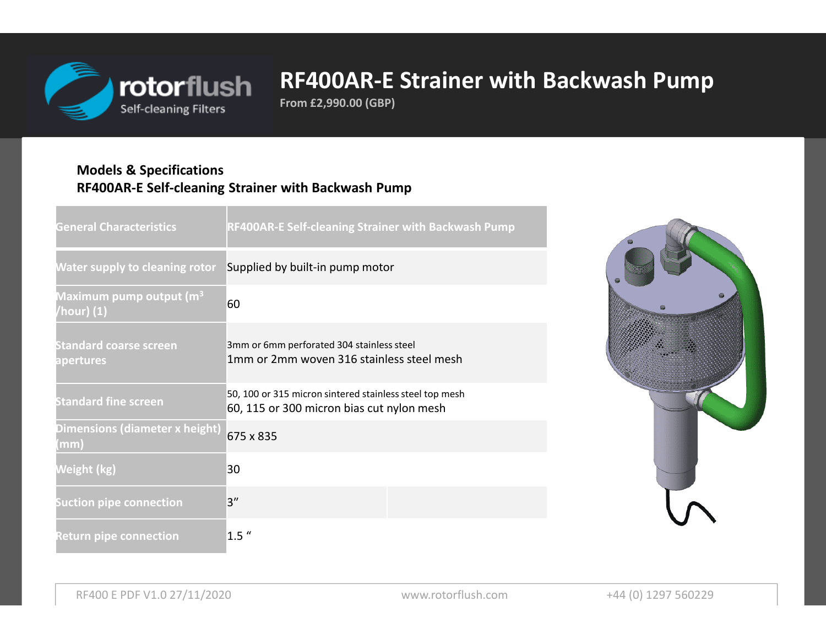

**From £2,990.00 (GBP)**

### **Models & SpecificationsRF400AR-E Self-cleaning Strainer with Backwash Pump**

| <b>General Characteristics</b>                    | <b>RF400AR-E Self-cleaning Strainer with Backwash Pump</b>                                           |  |
|---------------------------------------------------|------------------------------------------------------------------------------------------------------|--|
| <b>Water supply to cleaning rotor</b>             | Supplied by built-in pump motor                                                                      |  |
| Maximum pump output (m <sup>3</sup><br>/hour) (1) | 60                                                                                                   |  |
| <b>Standard coarse screen</b><br>apertures        | 3mm or 6mm perforated 304 stainless steel<br>1mm or 2mm woven 316 stainless steel mesh               |  |
| <b>Standard fine screen</b>                       | 50, 100 or 315 micron sintered stainless steel top mesh<br>60, 115 or 300 micron bias cut nylon mesh |  |
| Dimensions (diameter x height)<br>(mm)            | 675 x 835                                                                                            |  |
| Weight (kg)                                       | 30                                                                                                   |  |
| <b>Suction pipe connection</b>                    | 3''                                                                                                  |  |
| <b>Return pipe connection</b>                     | $1.5$ "                                                                                              |  |

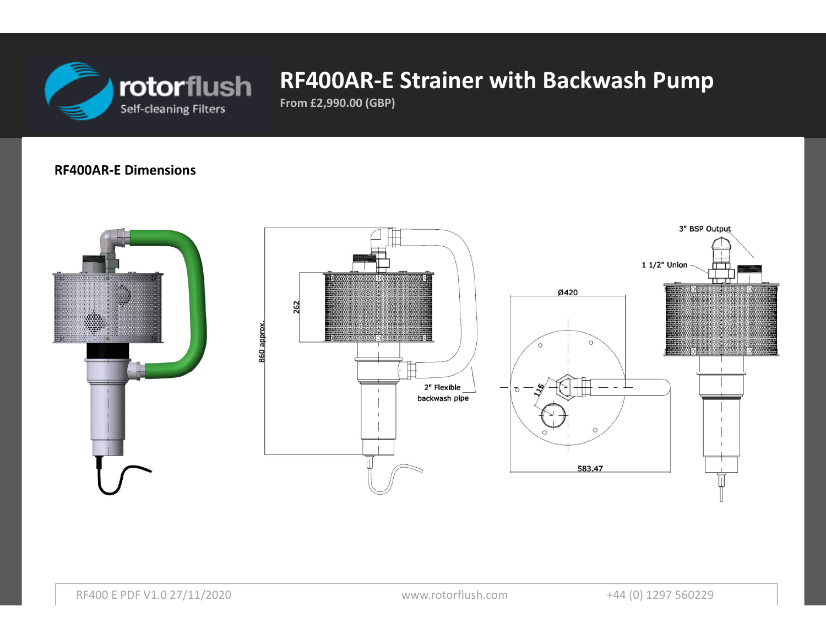

**From £2,990.00 (GBP)**

### **RF400AR-E Dimensions**

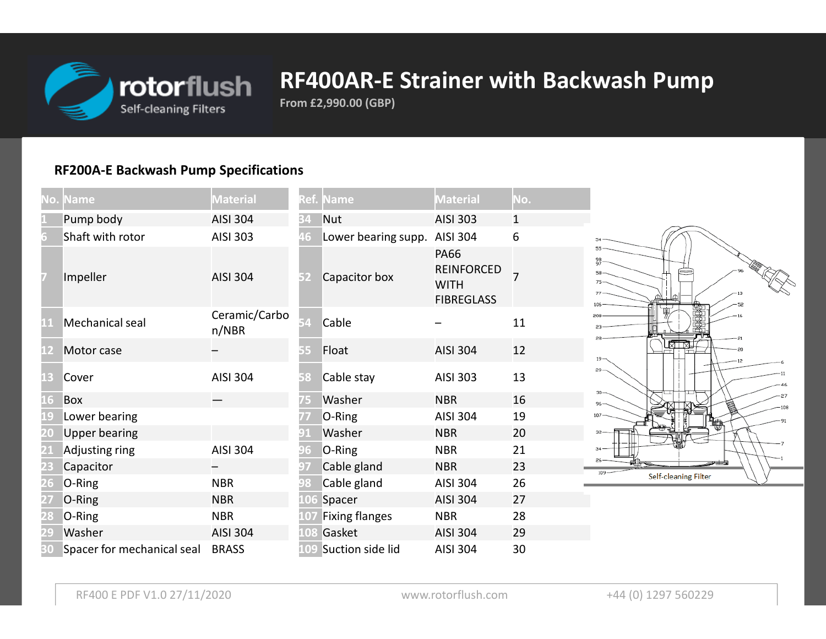

**From £2,990.00 (GBP)**

### **RF200A-E Backwash Pump Specifications**

| Name<br>١o.          |                            | <b>Material</b>        |    | <b>Ref. Name</b>      | <b>Material</b>                                                      | No. |                      |
|----------------------|----------------------------|------------------------|----|-----------------------|----------------------------------------------------------------------|-----|----------------------|
| Pump body            |                            | <b>AISI 304</b>        | 34 | <b>Nut</b>            | <b>AISI 303</b>                                                      | 1   |                      |
| Shaft with rotor     |                            | AISI 303               |    | Lower bearing supp.   | AISI 304                                                             | 6   |                      |
| Impeller             |                            | <b>AISI 304</b>        | 52 | Capacitor box         | <b>PA66</b><br><b>REINFORCED</b><br><b>WITH</b><br><b>FIBREGLASS</b> |     |                      |
| Mechanical seal      |                            | Ceramic/Carbo<br>n/NBR |    | Cable                 |                                                                      | 11  |                      |
| Motor case<br>12     |                            |                        | 55 | Float                 | AISI 304                                                             | 12  | 磁球                   |
| Cover<br>13          |                            | AISI 304               | 58 | Cable stay            | AISI 303                                                             | 13  | $29 -$               |
| Box                  |                            |                        |    | Washer                | <b>NBR</b>                                                           | 16  | $30 -$               |
| Lower bearing        |                            |                        |    | $O-Ring$              | AISI 304                                                             | 19  | $107 -$              |
| <b>Upper bearing</b> |                            |                        |    | Washer                | <b>NBR</b>                                                           | 20  |                      |
| Adjusting ring       |                            | AISI 304               |    | $O-Ring$              | <b>NBR</b>                                                           | 21  |                      |
| Capacitor            |                            |                        | 97 | Cable gland           | <b>NBR</b>                                                           | 23  |                      |
| O-Ring               |                            | <b>NBR</b>             |    | Cable gland           | AISI 304                                                             | 26  | Self-cleaning Filter |
| O-Ring               |                            | <b>NBR</b>             |    | Spacer                | <b>AISI 304</b>                                                      | 27  |                      |
| $O-Ring$             |                            | <b>NBR</b>             |    | <b>Fixing flanges</b> | <b>NBR</b>                                                           | 28  |                      |
| Washer               |                            | <b>AISI 304</b>        |    | Gasket                | <b>AISI 304</b>                                                      | 29  |                      |
|                      | Spacer for mechanical seal | <b>BRASS</b>           |    | Suction side lid      | AISI 304                                                             | 30  |                      |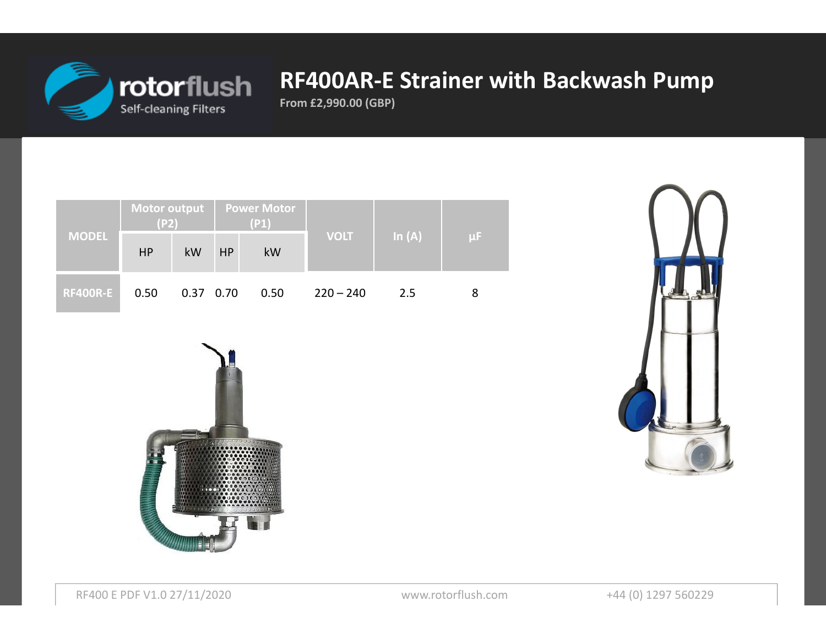

**From £2,990.00 (GBP)**

|                 | Motor output   Power Motor<br>(P2) |           | (P1)      |      |             |          |         |
|-----------------|------------------------------------|-----------|-----------|------|-------------|----------|---------|
| <b>MODEL</b>    | <b>HP</b>                          | kW        | <b>HP</b> | kW   | <b>VOLT</b> | In $(A)$ | $\mu$ F |
| <b>RF400R-E</b> | 0.50                               | 0.37 0.70 |           | 0.50 | $220 - 240$ | 2.5      |         |



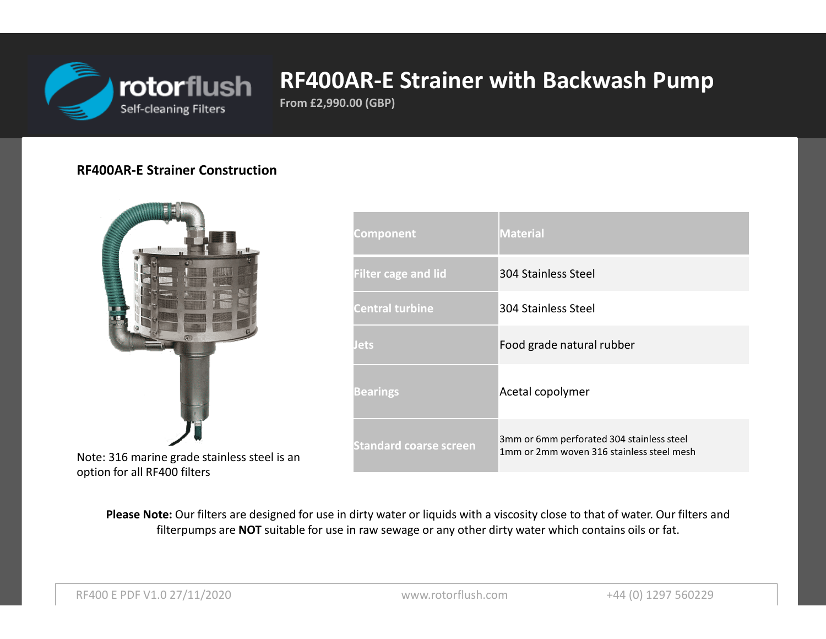

**From £2,990.00 (GBP)**

### **RF400AR-E Strainer Construction**



 Note: 316 marine grade stainless steel is an option for all RF400 filters

| Component                     | <b>Material</b>                                                                        |
|-------------------------------|----------------------------------------------------------------------------------------|
| <b>Filter cage and lid</b>    | 304 Stainless Steel                                                                    |
| <b>Central turbine</b>        | 304 Stainless Steel                                                                    |
| <b>Jets</b>                   | Food grade natural rubber                                                              |
| <b>Bearings</b>               | Acetal copolymer                                                                       |
| <b>Standard coarse screen</b> | 3mm or 6mm perforated 304 stainless steel<br>1mm or 2mm woven 316 stainless steel mesh |

Please Note: Our filters are designed for use in dirty water or liquids with a viscosity close to that of water. Our filters and filterpumps are **NOT** suitable for use in raw sewage or any other dirty water which contains oils or fat.